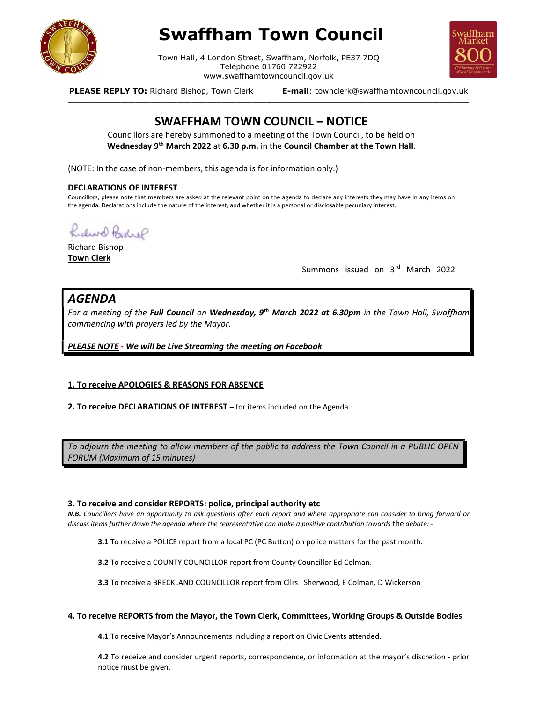

# Swaffham Town Council

Town Hall, 4 London Street, Swaffham, Norfolk, PE37 7DQ Telephone 01760 722922 www.swaffhamtowncouncil.gov.uk<br>p, Town Clerk **E-mail**: townclerk@swaffhamtowncouncil.gov.uk

\_\_\_\_\_\_\_\_\_\_\_\_\_\_\_\_\_\_\_\_\_\_\_\_\_\_\_\_\_\_\_\_\_\_\_\_\_\_\_\_\_\_\_\_\_\_\_\_\_\_\_\_\_\_\_\_\_\_\_\_\_\_\_\_\_\_\_\_\_\_\_\_\_\_\_\_\_\_\_\_\_\_\_\_\_\_\_\_\_\_\_\_\_\_\_\_\_\_\_\_\_\_\_\_\_\_\_



PLEASE REPLY TO: Richard Bishop, Town Clerk

# SWAFFHAM TOWN COUNCIL – NOTICE

Councillors are hereby summoned to a meeting of the Town Council, to be held on Wednesday 9<sup>th</sup> March 2022 at 6.30 p.m. in the Council Chamber at the Town Hall.

(NOTE: In the case of non-members, this agenda is for information only.)

### DECLARATIONS OF INTEREST

Councillors, please note that members are asked at the relevant point on the agenda to declare any interests they may have in any items on the agenda. Declarations include the nature of the interest, and whether it is a personal or disclosable pecuniary interest.

Rider Bedrif

Richard Bishop Town Clerk

Summons issued on 3rd March 2022

# AGENDA

For a meeting of the Full Council on Wednesday, 9<sup>th</sup> March 2022 at 6.30pm in the Town Hall, Swaffham commencing with prayers led by the Mayor.

PLEASE NOTE - We will be Live Streaming the meeting on Facebook

## 1. To receive APOLOGIES & REASONS FOR ABSENCE

2. To receive DECLARATIONS OF INTEREST - for items included on the Agenda.

To adjourn the meeting to allow members of the public to address the Town Council in a PUBLIC OPEN FORUM (Maximum of 15 minutes)

## 3. To receive and consider REPORTS: police, principal authority etc

N.B. Councillors have an opportunity to ask questions after each report and where appropriate can consider to bring forward or discuss items further down the agenda where the representative can make a positive contribution towards the debate: -

3.1 To receive a POLICE report from a local PC (PC Button) on police matters for the past month.

3.2 To receive a COUNTY COUNCILLOR report from County Councillor Ed Colman.

3.3 To receive a BRECKLAND COUNCILLOR report from Cllrs I Sherwood, E Colman, D Wickerson

#### 4. To receive REPORTS from the Mayor, the Town Clerk, Committees, Working Groups & Outside Bodies

4.1 To receive Mayor's Announcements including a report on Civic Events attended.

4.2 To receive and consider urgent reports, correspondence, or information at the mayor's discretion - prior notice must be given.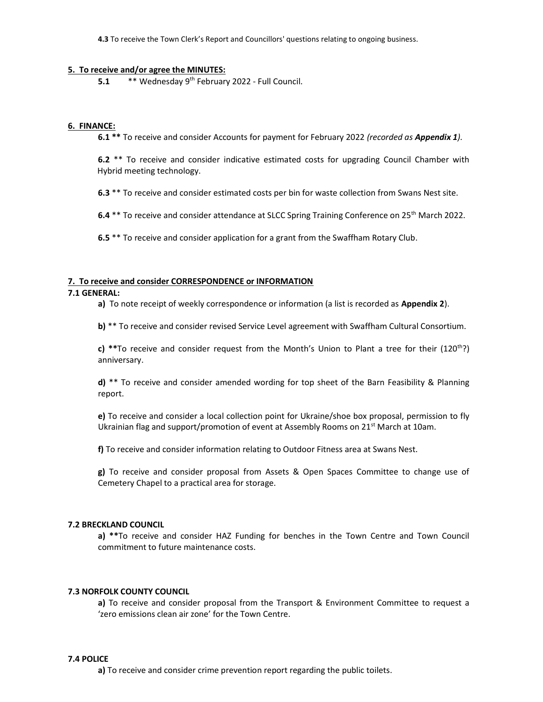4.3 To receive the Town Clerk's Report and Councillors' questions relating to ongoing business.

#### 5. To receive and/or agree the MINUTES:

5.1 **\*\*** Wednesday 9<sup>th</sup> February 2022 - Full Council.

#### 6. FINANCE:

6.1<sup>\*\*</sup> To receive and consider Accounts for payment for February 2022 (recorded as **Appendix 1**).

6.2<sup>\*\*</sup> To receive and consider indicative estimated costs for upgrading Council Chamber with Hybrid meeting technology.

6.3 \*\* To receive and consider estimated costs per bin for waste collection from Swans Nest site.

6.4 \*\* To receive and consider attendance at SLCC Spring Training Conference on 25<sup>th</sup> March 2022.

6.5 \*\* To receive and consider application for a grant from the Swaffham Rotary Club.

#### 7. To receive and consider CORRESPONDENCE or INFORMATION

## 7.1 GENERAL:

a) To note receipt of weekly correspondence or information (a list is recorded as Appendix 2).

b) \*\* To receive and consider revised Service Level agreement with Swaffham Cultural Consortium.

c) \*\*To receive and consider request from the Month's Union to Plant a tree for their  $(120<sup>th</sup>)$ anniversary.

d) \*\* To receive and consider amended wording for top sheet of the Barn Feasibility & Planning report.

e) To receive and consider a local collection point for Ukraine/shoe box proposal, permission to fly Ukrainian flag and support/promotion of event at Assembly Rooms on 21 $\mathrm{^{st}}$  March at 10am.

f) To receive and consider information relating to Outdoor Fitness area at Swans Nest.

g) To receive and consider proposal from Assets & Open Spaces Committee to change use of Cemetery Chapel to a practical area for storage.

# 7.2 BRECKLAND COUNCIL

a) \*\*To receive and consider HAZ Funding for benches in the Town Centre and Town Council commitment to future maintenance costs.

#### 7.3 NORFOLK COUNTY COUNCIL

a) To receive and consider proposal from the Transport & Environment Committee to request a 'zero emissions clean air zone' for the Town Centre.

#### 7.4 POLICE

a) To receive and consider crime prevention report regarding the public toilets.